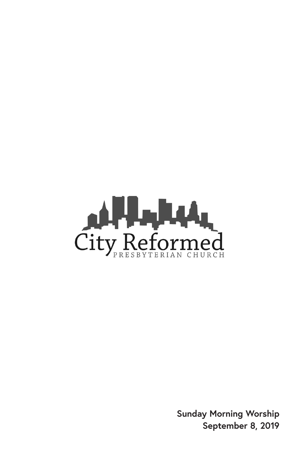

**Sunday Morning Worship September 8, 2019**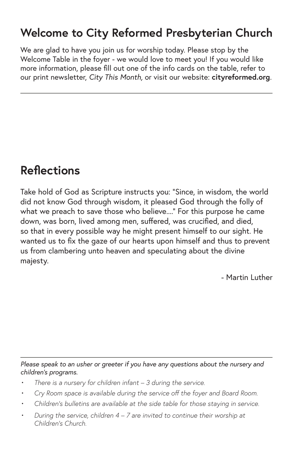# **Welcome to City Reformed Presbyterian Church**

We are glad to have you join us for worship today. Please stop by the Welcome Table in the foyer - we would love to meet you! If you would like more information, please fill out one of the info cards on the table, refer to our print newsletter, *City This Month,* or visit our website: **cityreformed.org**.

### **Reflections**

Take hold of God as Scripture instructs you: "Since, in wisdom, the world did not know God through wisdom, it pleased God through the folly of what we preach to save those who believe...." For this purpose he came down, was born, lived among men, suffered, was crucified, and died, so that in every possible way he might present himself to our sight. He wanted us to fix the gaze of our hearts upon himself and thus to prevent us from clambering unto heaven and speculating about the divine majesty.

- Martin Luther

*Please speak to an usher or greeter if you have any questions about the nursery and children's programs.*

- *• There is a nursery for children infant 3 during the service.*
- *• Cry Room space is available during the service off the foyer and Board Room.*
- *• Children's bulletins are available at the side table for those staying in service.*
- *• During the service, children 4 7 are invited to continue their worship at Children's Church.*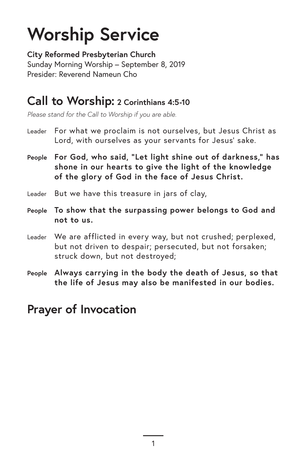# **Worship Service**

**City Reformed Presbyterian Church** Sunday Morning Worship – September 8, 2019 Presider: Reverend Nameun Cho

### **Call to Worship: 2 Corinthians 4:5-10**

*Please stand for the Call to Worship if you are able.*

- Leader For what we proclaim is not ourselves, but Jesus Christ as Lord, with ourselves as your servants for Jesus' sake.
- **People For God, who said, "Let light shine out of darkness," has shone in our hearts to give the light of the knowledge of the glory of God in the face of Jesus Christ.**
- Leader But we have this treasure in jars of clay,
- **People To show that the surpassing power belongs to God and not to us.**
- Leader We are afflicted in every way, but not crushed; perplexed, but not driven to despair; persecuted, but not forsaken; struck down, but not destroyed;
- **People Always carrying in the body the death of Jesus, so that the life of Jesus may also be manifested in our bodies.**

### **Prayer of Invocation**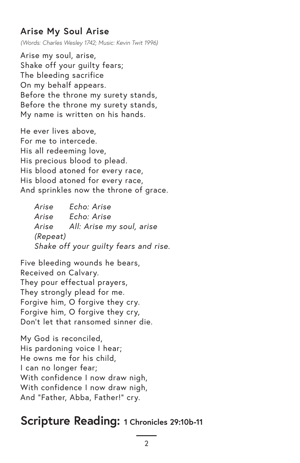#### **Arise My Soul Arise**

*(Words: Charles Wesley 1742; Music: Kevin Twit 1996)*

Arise my soul, arise, Shake off your guilty fears; The bleeding sacrifice On my behalf appears. Before the throne my surety stands, Before the throne my surety stands, My name is written on his hands.

He ever lives above, For me to intercede. His all redeeming love, His precious blood to plead. His blood atoned for every race, His blood atoned for every race, And sprinkles now the throne of grace.

*Arise Echo: Arise Arise Echo: Arise Arise All: Arise my soul, arise (Repeat) Shake off your guilty fears and rise.*

Five bleeding wounds he bears, Received on Calvary. They pour effectual prayers, They strongly plead for me. Forgive him, O forgive they cry. Forgive him, O forgive they cry, Don't let that ransomed sinner die.

My God is reconciled, His pardoning voice I hear; He owns me for his child, I can no longer fear; With confidence I now draw nigh, With confidence I now draw nigh, And "Father, Abba, Father!" cry.

### **Scripture Reading: 1 Chronicles 29:10b-11**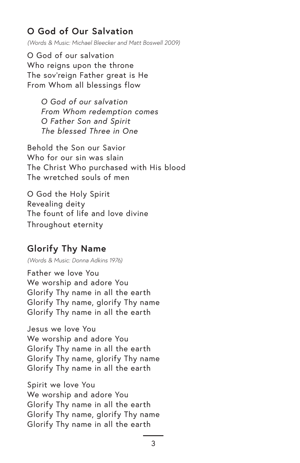#### **O God of Our Salvation**

*(Words & Music: Michael Bleecker and Matt Boswell 2009)*

O God of our salvation Who reigns upon the throne The sov'reign Father great is He From Whom all blessings flow

> *O God of our salvation From Whom redemption comes O Father Son and Spirit The blessed Three in One*

Behold the Son our Savior Who for our sin was slain The Christ Who purchased with His blood The wretched souls of men

O God the Holy Spirit Revealing deity The fount of life and love divine Throughout eternity

#### **Glorify Thy Name**

*(Words & Music: Donna Adkins 1976)*

Father we love You We worship and adore You Glorify Thy name in all the earth Glorify Thy name, glorify Thy name Glorify Thy name in all the earth

Jesus we love You We worship and adore You Glorify Thy name in all the earth Glorify Thy name, glorify Thy name Glorify Thy name in all the earth

Spirit we love You We worship and adore You Glorify Thy name in all the earth Glorify Thy name, glorify Thy name Glorify Thy name in all the earth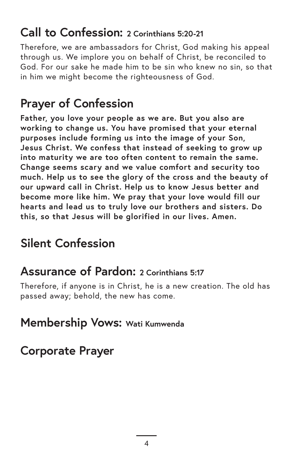# **Call to Confession: 2 Corinthians 5:20-21**

Therefore, we are ambassadors for Christ, God making his appeal through us. We implore you on behalf of Christ, be reconciled to God. For our sake he made him to be sin who knew no sin, so that in him we might become the righteousness of God.

# **Prayer of Confession**

**Father, you love your people as we are. But you also are working to change us. You have promised that your eternal purposes include forming us into the image of your Son, Jesus Christ. We confess that instead of seeking to grow up into maturity we are too often content to remain the same. Change seems scary and we value comfort and security too much. Help us to see the glory of the cross and the beauty of our upward call in Christ. Help us to know Jesus better and become more like him. We pray that your love would fill our hearts and lead us to truly love our brothers and sisters. Do this, so that Jesus will be glorified in our lives. Amen.**

# **Silent Confession**

### **Assurance of Pardon: 2 Corinthians 5:17**

Therefore, if anyone is in Christ, he is a new creation. The old has passed away; behold, the new has come.

### **Membership Vows: Wati Kumwenda**

# **Corporate Prayer**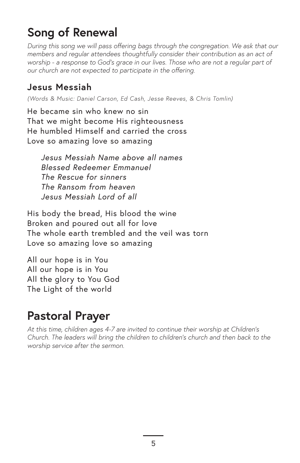# **Song of Renewal**

*During this song we will pass offering bags through the congregation. We ask that our members and regular attendees thoughtfully consider their contribution as an act of worship - a response to God's grace in our lives. Those who are not a regular part of our church are not expected to participate in the offering.*

#### **Jesus Messiah**

*(Words & Music: Daniel Carson, Ed Cash, Jesse Reeves, & Chris Tomlin)*

He became sin who knew no sin That we might become His righteousness He humbled Himself and carried the cross Love so amazing love so amazing

*Jesus Messiah Name above all names Blessed Redeemer Emmanuel The Rescue for sinners The Ransom from heaven Jesus Messiah Lord of all*

His body the bread, His blood the wine Broken and poured out all for love The whole earth trembled and the veil was torn Love so amazing love so amazing

All our hope is in You All our hope is in You All the glory to You God The Light of the world

# **Pastoral Prayer**

*At this time, children ages 4-7 are invited to continue their worship at Children's Church. The leaders will bring the children to children's church and then back to the worship service after the sermon.*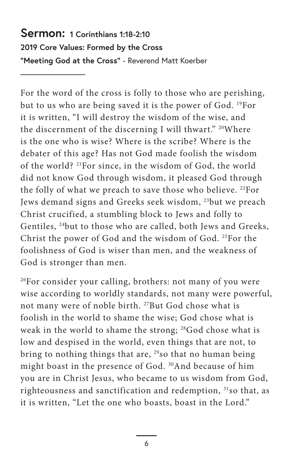#### **Sermon: 1 Corinthians 1:18-2:10 2019 Core Values: Formed by the Cross "Meeting God at the Cross"** - Reverend Matt Koerber

For the word of the cross is folly to those who are perishing, but to us who are being saved it is the power of God. 19For it is written, "I will destroy the wisdom of the wise, and the discernment of the discerning I will thwart." 20Where is the one who is wise? Where is the scribe? Where is the debater of this age? Has not God made foolish the wisdom of the world? 21For since, in the wisdom of God, the world did not know God through wisdom, it pleased God through the folly of what we preach to save those who believe. <sup>22</sup>For Jews demand signs and Greeks seek wisdom, 23but we preach Christ crucified, a stumbling block to Jews and folly to Gentiles, 24but to those who are called, both Jews and Greeks, Christ the power of God and the wisdom of God. 25For the foolishness of God is wiser than men, and the weakness of God is stronger than men.

26For consider your calling, brothers: not many of you were wise according to worldly standards, not many were powerful, not many were of noble birth. 27But God chose what is foolish in the world to shame the wise; God chose what is weak in the world to shame the strong; 28God chose what is low and despised in the world, even things that are not, to bring to nothing things that are, <sup>29</sup>so that no human being might boast in the presence of God. 30And because of him you are in Christ Jesus, who became to us wisdom from God, righteousness and sanctification and redemption, 31so that, as it is written, "Let the one who boasts, boast in the Lord."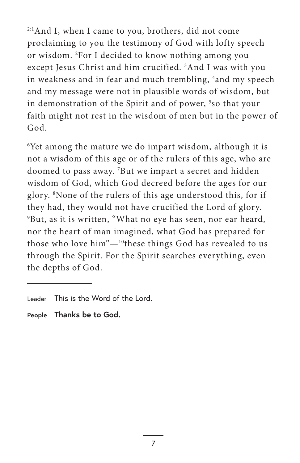2:1And I, when I came to you, brothers, did not come proclaiming to you the testimony of God with lofty speech or wisdom. 2 For I decided to know nothing among you except Jesus Christ and him crucified. 3 And I was with you in weakness and in fear and much trembling, 4 and my speech and my message were not in plausible words of wisdom, but in demonstration of the Spirit and of power, <sup>5</sup>so that your faith might not rest in the wisdom of men but in the power of God.

6 Yet among the mature we do impart wisdom, although it is not a wisdom of this age or of the rulers of this age, who are doomed to pass away. 7 But we impart a secret and hidden wisdom of God, which God decreed before the ages for our glory. 8 None of the rulers of this age understood this, for if they had, they would not have crucified the Lord of glory. 9 But, as it is written, "What no eye has seen, nor ear heard, nor the heart of man imagined, what God has prepared for those who love him"—10these things God has revealed to us through the Spirit. For the Spirit searches everything, even the depths of God.

Leader This is the Word of the Lord.

**People Thanks be to God.**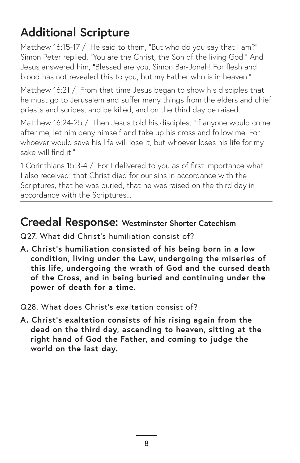# **Additional Scripture**

Matthew 16:15-17 / He said to them, "But who do you say that I am?" Simon Peter replied, "You are the Christ, the Son of the living God." And Jesus answered him, "Blessed are you, Simon Bar-Jonah! For flesh and blood has not revealed this to you, but my Father who is in heaven."

Matthew 16:21 / From that time Jesus began to show his disciples that he must go to Jerusalem and suffer many things from the elders and chief priests and scribes, and be killed, and on the third day be raised.

Matthew 16:24-25 / Then Jesus told his disciples, "If anyone would come after me, let him deny himself and take up his cross and follow me. For whoever would save his life will lose it, but whoever loses his life for my sake will find it."

1 Corinthians 15:3-4 / For I delivered to you as of first importance what I also received: that Christ died for our sins in accordance with the Scriptures, that he was buried, that he was raised on the third day in accordance with the Scriptures...

### **Creedal Response: Westminster Shorter Catechism**

Q27. What did Christ's humiliation consist of?

- **A. Christ's humiliation consisted of his being born in a low condition, living under the Law, undergoing the miseries of this life, undergoing the wrath of God and the cursed death of the Cross, and in being buried and continuing under the power of death for a time.**
- Q28. What does Christ's exaltation consist of?
- **A. Christ's exaltation consists of his rising again from the dead on the third day, ascending to heaven, sitting at the right hand of God the Father, and coming to judge the world on the last day.**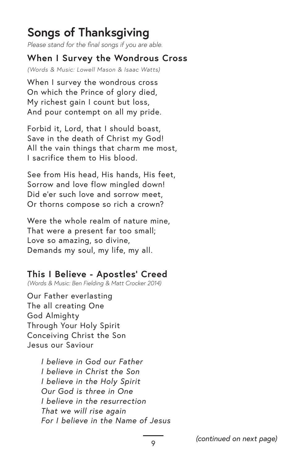# **Songs of Thanksgiving**

*Please stand for the final songs if you are able.*

#### **When I Survey the Wondrous Cross**

*(Words & Music: Lowell Mason & Isaac Watts)*

When I survey the wondrous cross On which the Prince of glory died, My richest gain I count but loss, And pour contempt on all my pride.

Forbid it, Lord, that I should boast, Save in the death of Christ my God! All the vain things that charm me most, I sacrifice them to His blood.

See from His head, His hands, His feet, Sorrow and love flow mingled down! Did e'er such love and sorrow meet, Or thorns compose so rich a crown?

Were the whole realm of nature mine, That were a present far too small; Love so amazing, so divine, Demands my soul, my life, my all.

#### **This I Believe - Apostles' Creed**

*(Words & Music: Ben Fielding & Matt Crocker 2014)*

Our Father everlasting The all creating One God Almighty Through Your Holy Spirit Conceiving Christ the Son Jesus our Saviour

> *I believe in God our Father I believe in Christ the Son I believe in the Holy Spirit Our God is three in One I believe in the resurrection That we will rise again For I believe in the Name of Jesus*